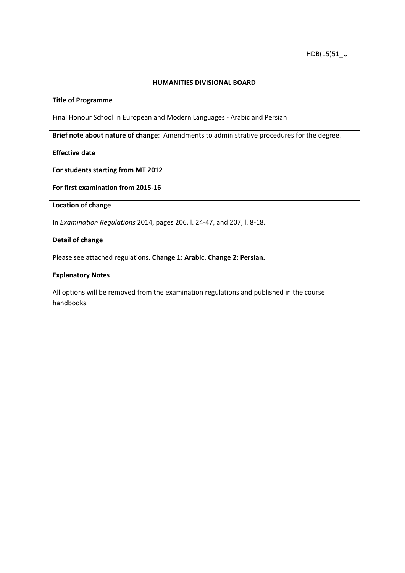HDB(15)51\_U

# **HUMANITIES DIVISIONAL BOARD**

### **Title of Programme**

Final Honour School in European and Modern Languages - Arabic and Persian

**Brief note about nature of change**: Amendments to administrative procedures for the degree.

**Effective date**

**For students starting from MT 2012**

**For first examination from 2015-16**

**Location of change**

In *Examination Regulations* 2014, pages 206, l. 24-47, and 207, l. 8-18.

## **Detail of change**

Please see attached regulations. **Change 1: Arabic. Change 2: Persian.**

### **Explanatory Notes**

All options will be removed from the examination regulations and published in the course handbooks.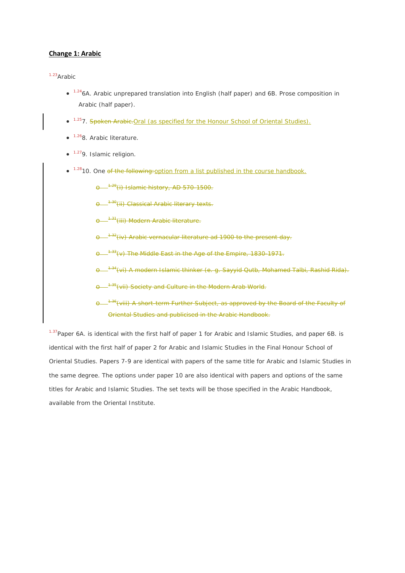#### **Change 1: Arabic**

# 1.23*Arabic*

- <sup>1.24</sup>6A. Arabic unprepared translation into English (half paper) and 6B. Prose composition in Arabic (half paper).
- <sup>1.25</sup>7. Spoken Arabic. Oral (as specified for the Honour School of Oriental Studies).
- <sup>1.26</sup>8. Arabic literature.
- 1.279. Islamic religion.
- <sup>1.28</sup>10. One of the following: option from a list published in the course handbook.
	- **e** <sup>1.29</sup>(i) Islamic history, AD 570-1500.
	- $-$ <sup>4.30</sup>(ii) Classical Arabic literary texts.
	- <sup>4.31</sup>(iii) Modern Arabic literature<del>.</del>
	- <sup>-+32</sup>(iv) Arabic vernacular literature ad 1900 to the present day.
	- $\sigma^{33}$ (v) The Middle East in the Age of the Empire, 1830-1971.
	- <sup>-1.34</sup>(vi) A modern Islamic thinker (e. g. Sayyid Qutb, Mohamed Talbi, Rashid Rida).
	- <sup>1.35</sup> (vii) Society and Culture in the Modern Arab World.
	- -<sup>1.36</sup>(viii) A short-term Further Subject, as approved by the Board of the Faculty of Oriental Studies and publicised in the Arabic Handbook.

<sup>1.37</sup>Paper 6A. is identical with the first half of paper 1 for Arabic and Islamic Studies, and paper 6B. is identical with the first half of paper 2 for Arabic and Islamic Studies in the Final Honour School of Oriental Studies. Papers 7-9 are identical with papers of the same title for Arabic and Islamic Studies in the same degree. The options under paper 10 are also identical with papers and options of the same titles for Arabic and Islamic Studies. The set texts will be those specified in the Arabic Handbook, available from the Oriental Institute.